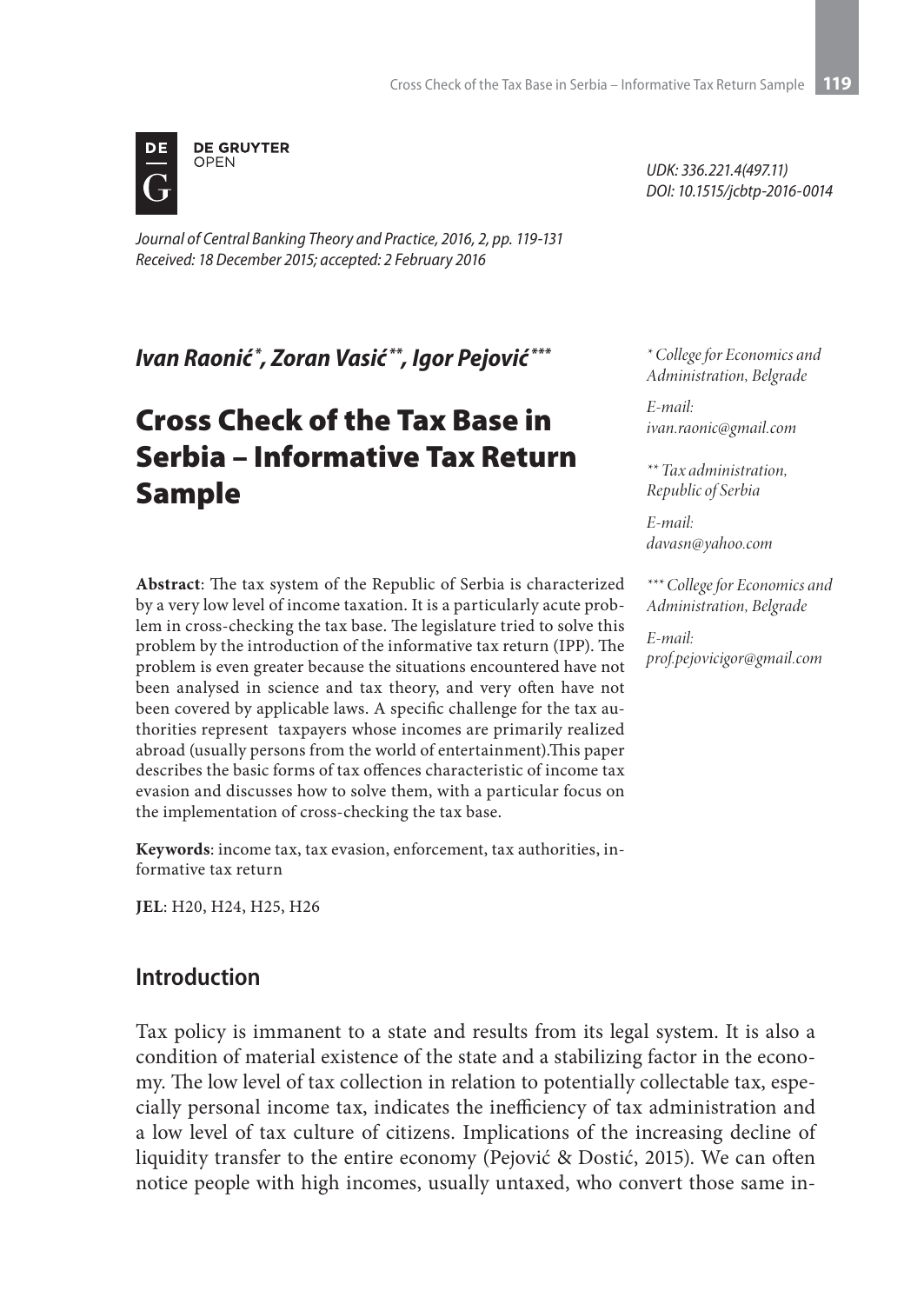

*Journal of Central Banking Theory and Practice, 2016, 2, pp. 119-131 Received: 18 December 2015; accepted: 2 February 2016*

*Ivаn Rаоnić \*, Zоrаn Vаsić \*\*, Igor Pejović \*\*\**

# Cross Check of the Tax Base in Serbia – Informative Tax Return Sample

**Abstract**: The tax system of the Republic of Serbia is characterized by a very low level of income taxation. It is a particularly acute problem in cross-checking the tax base. The legislature tried to solve this problem by the introduction of the informative tax return (IPP). The problem is even greater because the situations encountered have not been analysed in science and tax theory, and very often have not been covered by applicable laws. A specific challenge for the tax authorities represent taxpayers whose incomes are primarily realized abroad (usually persons from the world of entertainment).This paper describes the basic forms of tax offences characteristic of income tax evasion and discusses how to solve them, with a particular focus on the implementation of cross-checking the tax base.

**Keywords**: income tax, tax evasion, enforcement, tax authorities, informative tax return

**JEL**: H20, H24, H25, H26

## **Introduction**

Tax policy is immanent to a state and results from its legal system. It is also a condition of material existence of the state and a stabilizing factor in the economy. The low level of tax collection in relation to potentially collectable tax, especially personal income tax, indicates the inefficiency of tax administration and a low level of tax culture of citizens. Implications of the increasing decline of liquidity transfer to the entire economy (Pejović & Dostić, 2015). We can often notice people with high incomes, usually untaxed, who convert those same in-

*UDK: 336.221.4(497.11) DOI: 10.1515/jcbtp-2016-0014*

*\* College for Economics and Administration, Belgrade*

*E-mail: ivan.raonic@gmail.com*

*\*\* Tax administration, Republic of Serbia*

*E-mail: davasn@yahoo.com*

*\*\*\* College for Economics and Administration, Belgrade*

*E-mail: prof.pejovicigor@gmail.com*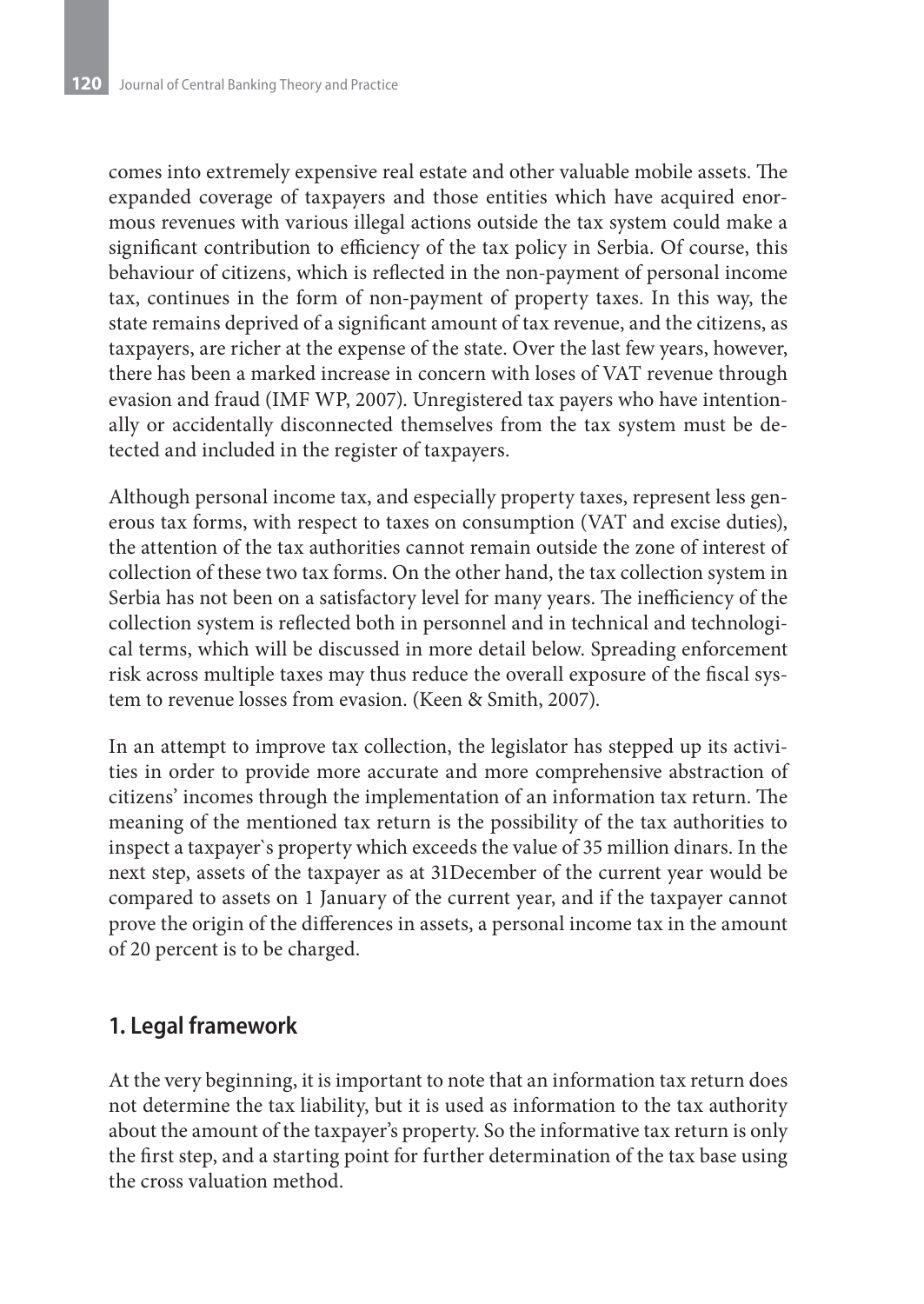comes into extremely expensive real estate and other valuable mobile assets. The expanded coverage of taxpayers and those entities which have acquired enormous revenues with various illegal actions outside the tax system could make a significant contribution to efficiency of the tax policy in Serbia. Of course, this behaviour of citizens, which is reflected in the non-payment of personal income tax, continues in the form of non-payment of property taxes. In this way, the state remains deprived of a significant amount of tax revenue, and the citizens, as taxpayers, are richer at the expense of the state. Over the last few years, however, there has been a marked increase in concern with loses of VAT revenue through evasion and fraud (IMF WP, 2007). Unregistered tax payers who have intentionally or accidentally disconnected themselves from the tax system must be detected and included in the register of taxpayers.

Although personal income tax, and especially property taxes, represent less generous tax forms, with respect to taxes on consumption (VAT and excise duties), the attention of the tax authorities cannot remain outside the zone of interest of collection of these two tax forms. On the other hand, the tax collection system in Serbia has not been on a satisfactory level for many years. The inefficiency of the collection system is reflected both in personnel and in technical and technological terms, which will be discussed in more detail below. Spreading enforcement risk across multiple taxes may thus reduce the overall exposure of the fiscal system to revenue losses from evasion. (Keen & Smith, 2007).

In an attempt to improve tax collection, the legislator has stepped up its activities in order to provide more accurate and more comprehensive abstraction of citizens' incomes through the implementation of an information tax return. The meaning of the mentioned tax return is the possibility of the tax authorities to inspect a taxpayer`s property which exceeds the value of 35 million dinars. In the next step, assets of the taxpayer as at 31December of the current year would be compared to assets on 1 January of the current year, and if the taxpayer cannot prove the origin of the differences in assets, a personal income tax in the amount of 20 percent is to be charged.

## **1. Legal framework**

At the very beginning, it is important to note that an information tax return does not determine the tax liability, but it is used as information to the tax authority about the amount of the taxpayer's property. So the informative tax return is only the first step, and a starting point for further determination of the tax base using the cross valuation method.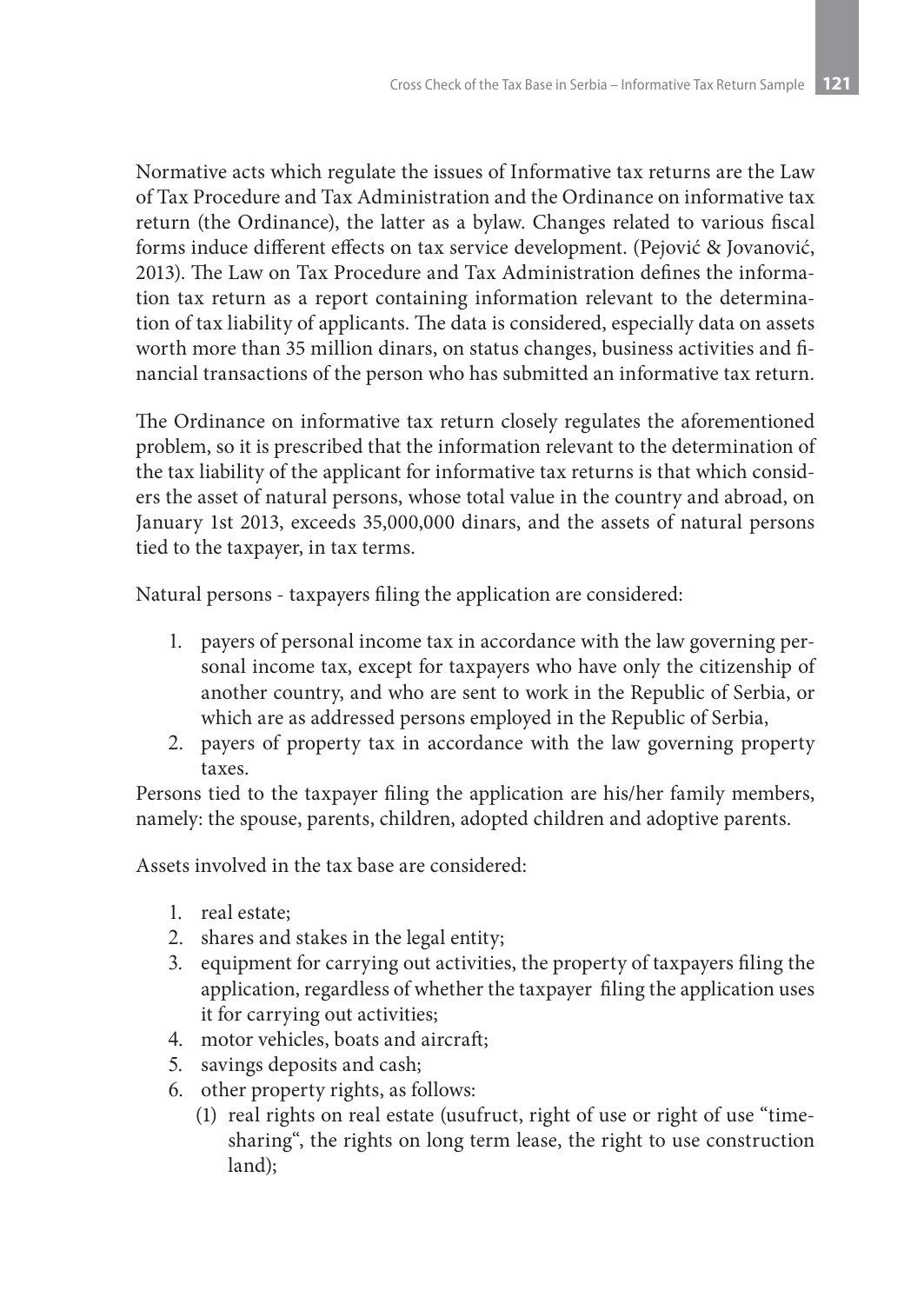Normative acts which regulate the issues of Informative tax returns are the Law of Tax Procedure and Tax Administration and the Ordinance on informative tax return (the Ordinance), the latter as a bylaw. Changes related to various fiscal forms induce different effects on tax service development. (Pejović & Jovanović, 2013). The Law on Tax Procedure and Tax Administration defines the information tax return as a report containing information relevant to the determination of tax liability of applicants. The data is considered, especially data on assets worth more than 35 million dinars, on status changes, business activities and financial transactions of the person who has submitted an informative tax return.

The Ordinance on informative tax return closely regulates the aforementioned problem, so it is prescribed that the information relevant to the determination of the tax liability of the applicant for informative tax returns is that which considers the asset of natural persons, whose total value in the country and abroad, on January 1st 2013, exceeds 35,000,000 dinars, and the assets of natural persons tied to the taxpayer, in tax terms.

Natural persons - taxpayers filing the application are considered:

- 1. payers of personal income tax in accordance with the law governing personal income tax, except for taxpayers who have only the citizenship of another country, and who are sent to work in the Republic of Serbia, or which are as addressed persons employed in the Republic of Serbia,
- 2. payers of property tax in accordance with the law governing property taxes.

Persons tied to the taxpayer filing the application are his/her family members, namely: the spouse, parents, children, adopted children and adoptive parents.

Assets involved in the tax base are considered:

- 1. real estate;
- 2. shares and stakes in the legal entity;
- 3. equipment for carrying out activities, the property of taxpayers filing the application, regardless of whether the taxpayer filing the application uses it for carrying out activities;
- 4. motor vehicles, boats and aircraft;
- 5. savings deposits and cash;
- 6. other property rights, as follows:
	- (1) real rights on real estate (usufruct, right of use or right of use "timesharing", the rights on long term lease, the right to use construction land);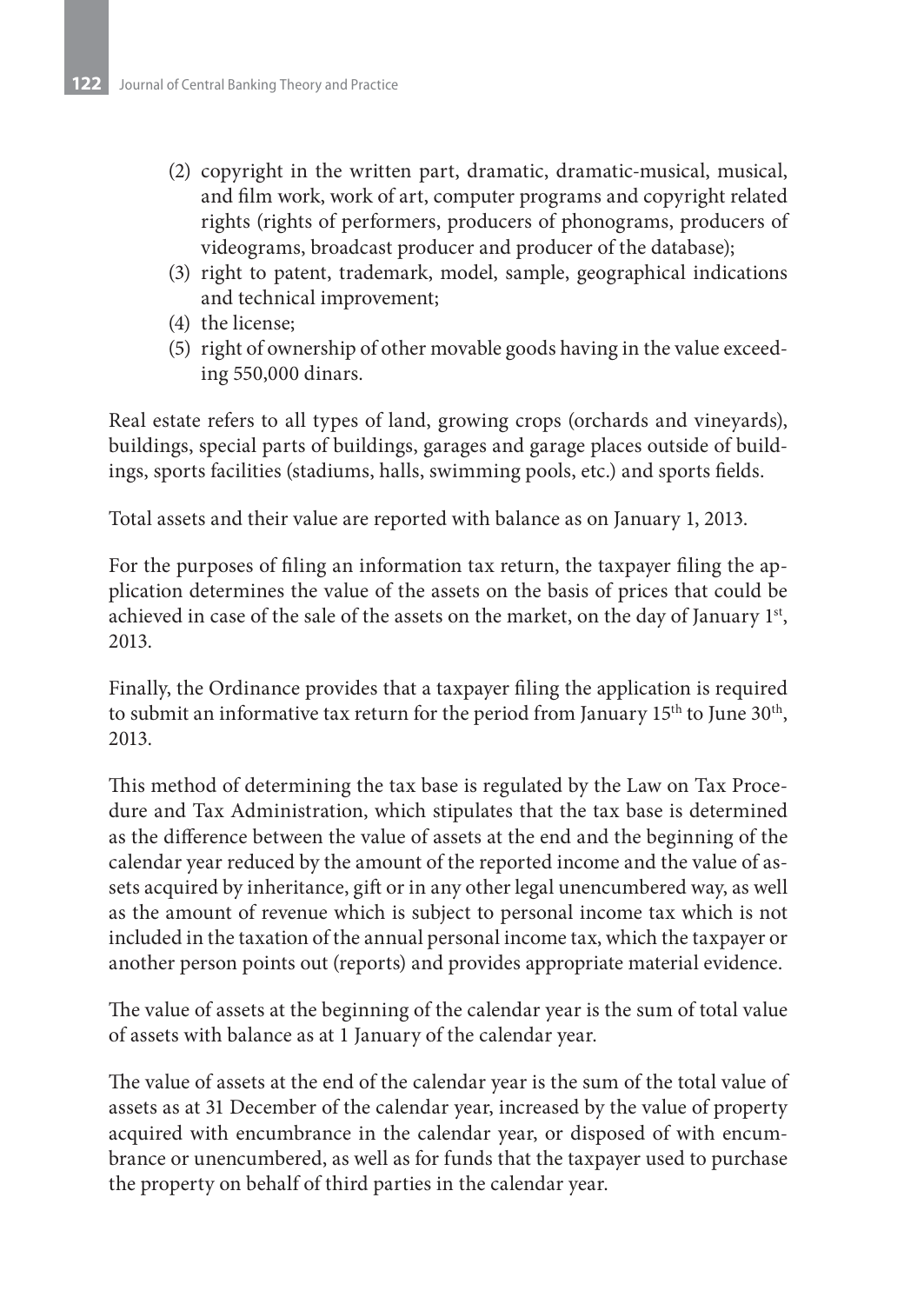- (2) copyright in the written part, dramatic, dramatic-musical, musical, and film work, work of art, computer programs and copyright related rights (rights of performers, producers of phonograms, producers of videograms, broadcast producer and producer of the database);
- (3) right to patent, trademark, model, sample, geographical indications and technical improvement;
- (4) the license;
- (5) right of ownership of other movable goods having in the value exceeding 550,000 dinars.

Real estate refers to all types of land, growing crops (orchards and vineyards), buildings, special parts of buildings, garages and garage places outside of buildings, sports facilities (stadiums, halls, swimming pools, etc.) and sports fields.

Total assets and their value are reported with balance as on January 1, 2013.

For the purposes of filing an information tax return, the taxpayer filing the application determines the value of the assets on the basis of prices that could be achieved in case of the sale of the assets on the market, on the day of January 1st, 2013.

Finally, the Ordinance provides that a taxpayer filing the application is required to submit an informative tax return for the period from January  $15<sup>th</sup>$  to June  $30<sup>th</sup>$ , 2013.

This method of determining the tax base is regulated by the Law on Tax Procedure and Tax Administration, which stipulates that the tax base is determined as the difference between the value of assets at the end and the beginning of the calendar year reduced by the amount of the reported income and the value of assets acquired by inheritance, gift or in any other legal unencumbered way, as well as the amount of revenue which is subject to personal income tax which is not included in the taxation of the annual personal income tax, which the taxpayer or another person points out (reports) and provides appropriate material evidence.

The value of assets at the beginning of the calendar year is the sum of total value of assets with balance as at 1 January of the calendar year.

The value of assets at the end of the calendar year is the sum of the total value of assets as at 31 December of the calendar year, increased by the value of property acquired with encumbrance in the calendar year, or disposed of with encumbrance or unencumbered, as well as for funds that the taxpayer used to purchase the property on behalf of third parties in the calendar year.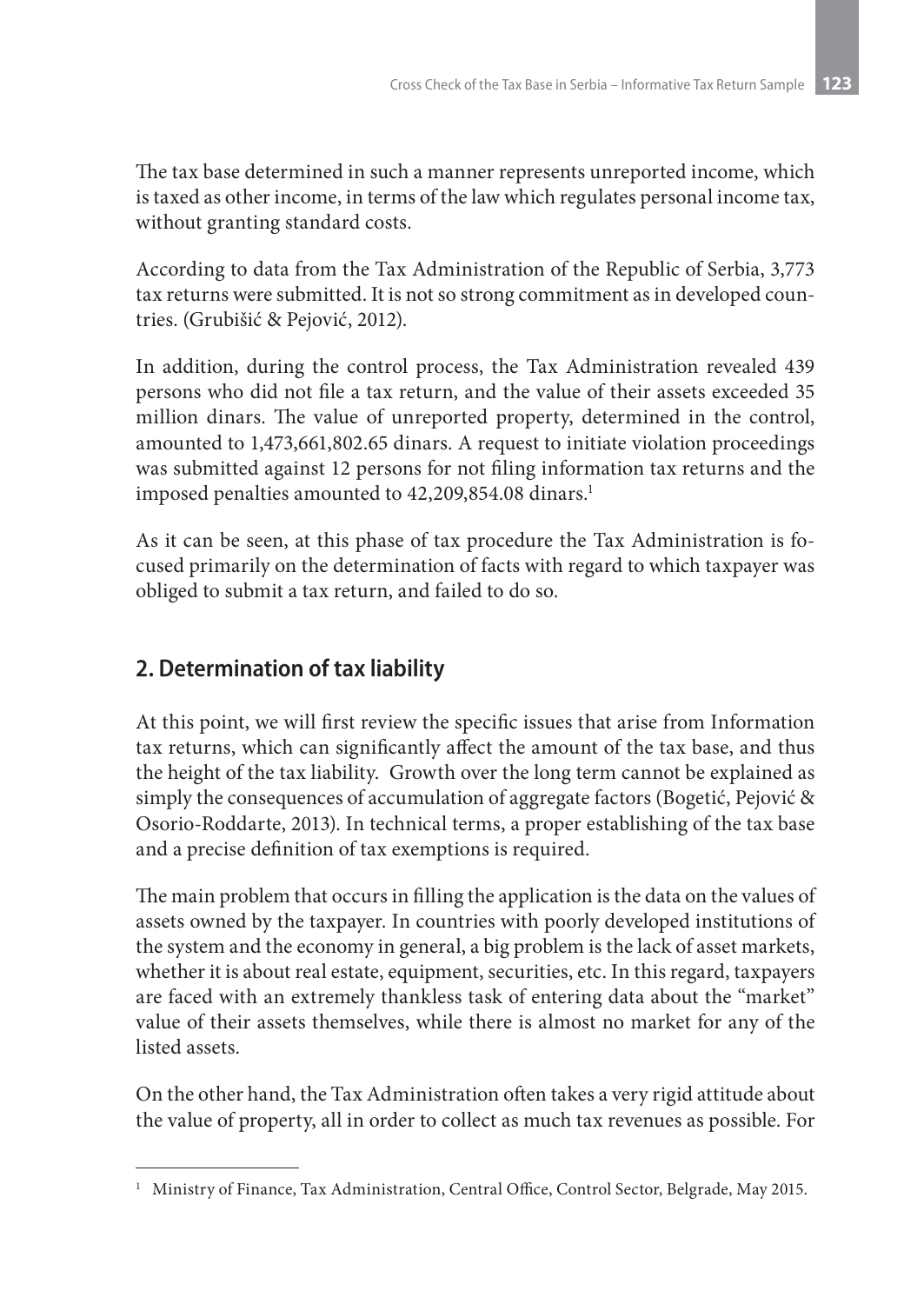The tax base determined in such a manner represents unreported income, which is taxed as other income, in terms of the law which regulates personal income tax, without granting standard costs.

According to data from the Tax Administration of the Republic of Serbia, 3,773 tax returns were submitted. It is not so strong commitment as in developed countries. (Grubišić & Pejović, 2012).

In addition, during the control process, the Tax Administration revealed 439 persons who did not file a tax return, and the value of their assets exceeded 35 million dinars. The value of unreported property, determined in the control, amounted to 1,473,661,802.65 dinars. A request to initiate violation proceedings was submitted against 12 persons for not filing information tax returns and the imposed penalties amounted to 42,209,854.08 dinars.<sup>1</sup>

As it can be seen, at this phase of tax procedure the Tax Administration is focused primarily on the determination of facts with regard to which taxpayer was obliged to submit a tax return, and failed to do so.

# **2. Determination of tax liability**

At this point, we will first review the specific issues that arise from Information tax returns, which can significantly affect the amount of the tax base, and thus the height of the tax liability. Growth over the long term cannot be explained as simply the consequences of accumulation of aggregate factors (Bogetić, Pejović & Osorio-Roddarte, 2013). In technical terms, a proper establishing of the tax base and a precise definition of tax exemptions is required.

The main problem that occurs in filling the application is the data on the values of assets owned by the taxpayer. In countries with poorly developed institutions of the system and the economy in general, a big problem is the lack of asset markets, whether it is about real estate, equipment, securities, etc. In this regard, taxpayers are faced with an extremely thankless task of entering data about the "market" value of their assets themselves, while there is almost no market for any of the listed assets.

On the other hand, the Tax Administration often takes a very rigid attitude about the value of property, all in order to collect as much tax revenues as possible. For

<sup>&</sup>lt;sup>1</sup> Ministry of Finance, Tax Administration, Central Office, Control Sector, Belgrade, May 2015.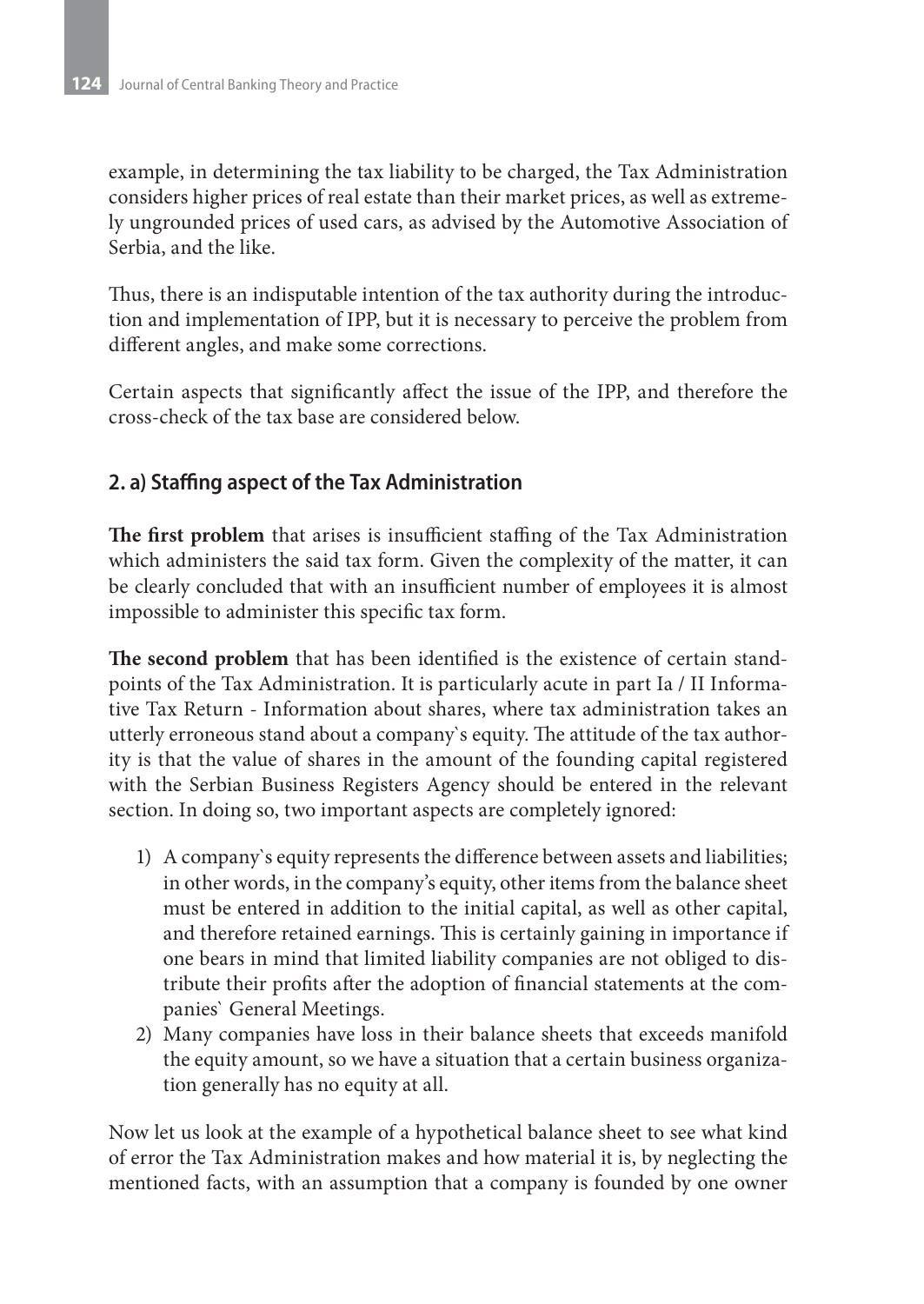example, in determining the tax liability to be charged, the Tax Administration considers higher prices of real estate than their market prices, as well as extremely ungrounded prices of used cars, as advised by the Automotive Association of Serbia, and the like.

Thus, there is an indisputable intention of the tax authority during the introduction and implementation of IPP, but it is necessary to perceive the problem from different angles, and make some corrections.

Certain aspects that significantly affect the issue of the IPP, and therefore the cross-check of the tax base are considered below.

### **2. a) Staffing aspect of the Tax Administration**

**The first problem** that arises is insufficient staffing of the Tax Administration which administers the said tax form. Given the complexity of the matter, it can be clearly concluded that with an insufficient number of employees it is almost impossible to administer this specific tax form.

**The second problem** that has been identified is the existence of certain standpoints of the Tax Administration. It is particularly acute in part Ia / II Informative Tax Return - Information about shares, where tax administration takes an utterly erroneous stand about a company`s equity. The attitude of the tax authority is that the value of shares in the amount of the founding capital registered with the Serbian Business Registers Agency should be entered in the relevant section. In doing so, two important aspects are completely ignored:

- 1) A company`s equity represents the difference between assets and liabilities; in other words, in the company's equity, other items from the balance sheet must be entered in addition to the initial capital, as well as other capital, and therefore retained earnings. This is certainly gaining in importance if one bears in mind that limited liability companies are not obliged to distribute their profits after the adoption of financial statements at the companies` General Meetings.
- 2) Many companies have loss in their balance sheets that exceeds manifold the equity amount, so we have a situation that a certain business organization generally has no equity at all.

Now let us look at the example of a hypothetical balance sheet to see what kind of error the Tax Administration makes and how material it is, by neglecting the mentioned facts, with an assumption that a company is founded by one owner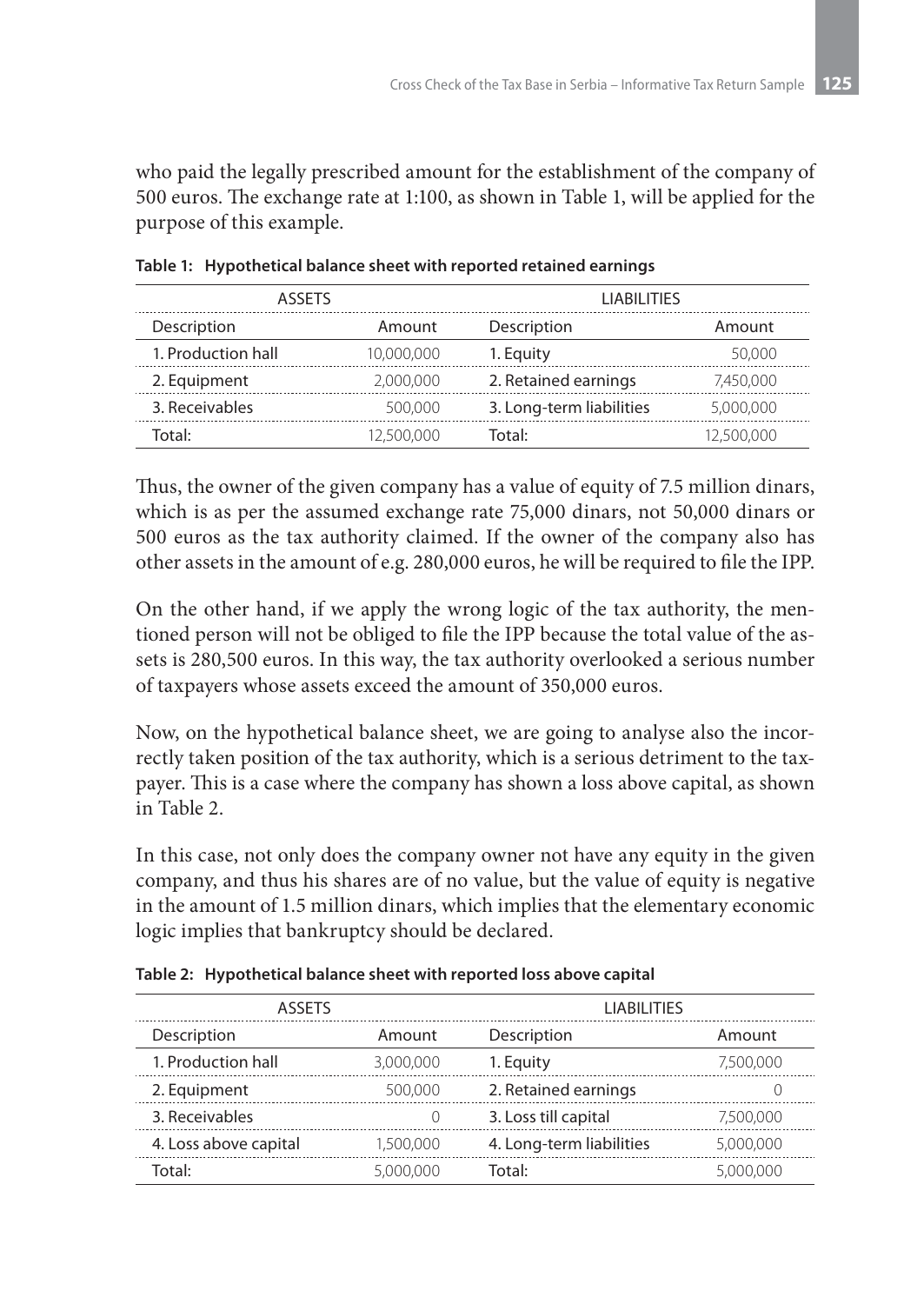who paid the legally prescribed amount for the establishment of the company of 500 euros. The exchange rate at 1:100, as shown in Table 1, will be applied for the purpose of this example.

| <b>ASSETS</b>      |            | <b>LIABILITIES</b>       |            |
|--------------------|------------|--------------------------|------------|
| Description        | Amount     | Description              | Amount     |
| 1. Production hall | 10,000,000 | 1. Equity                | 50,000     |
| 2. Equipment       | 2,000,000  | 2. Retained earnings     | 7.450.000  |
| 3. Receivables     | 500,000    | 3. Long-term liabilities | 5,000,000  |
| `otal·             | 12,500.000 | Total:                   | 12,500,000 |

**Table 1: Hypothetical balance sheet with reported retained earnings**

Thus, the owner of the given company has a value of equity of 7.5 million dinars, which is as per the assumed exchange rate 75,000 dinars, not 50,000 dinars or 500 euros as the tax authority claimed. If the owner of the company also has other assets in the amount of e.g. 280,000 euros, he will be required to file the IPP.

On the other hand, if we apply the wrong logic of the tax authority, the mentioned person will not be obliged to file the IPP because the total value of the assets is 280,500 euros. In this way, the tax authority overlooked a serious number of taxpayers whose assets exceed the amount of 350,000 euros.

Now, on the hypothetical balance sheet, we are going to analyse also the incorrectly taken position of the tax authority, which is a serious detriment to the taxpayer. This is a case where the company has shown a loss above capital, as shown in Table 2.

In this case, not only does the company owner not have any equity in the given company, and thus his shares are of no value, but the value of equity is negative in the amount of 1.5 million dinars, which implies that the elementary economic logic implies that bankruptcy should be declared.

| <b>ASSETS</b>         |           | <b>LIABILITIES</b>       |           |
|-----------------------|-----------|--------------------------|-----------|
| Description           | Amount    | Description              | Amount    |
| 1. Production hall    | 3,000,000 | 1. Equity                | 7.500.000 |
| 2. Equipment          | 500,000   | 2. Retained earnings     |           |
| 3. Receivables        | 0         | 3. Loss till capital     | 7,500,000 |
| 4. Loss above capital | 1,500,000 | 4. Long-term liabilities | 5,000,000 |
| Total:                | 5,000,000 | Total:                   | 5,000,000 |

**Table 2: Hypothetical balance sheet with reported loss above capital**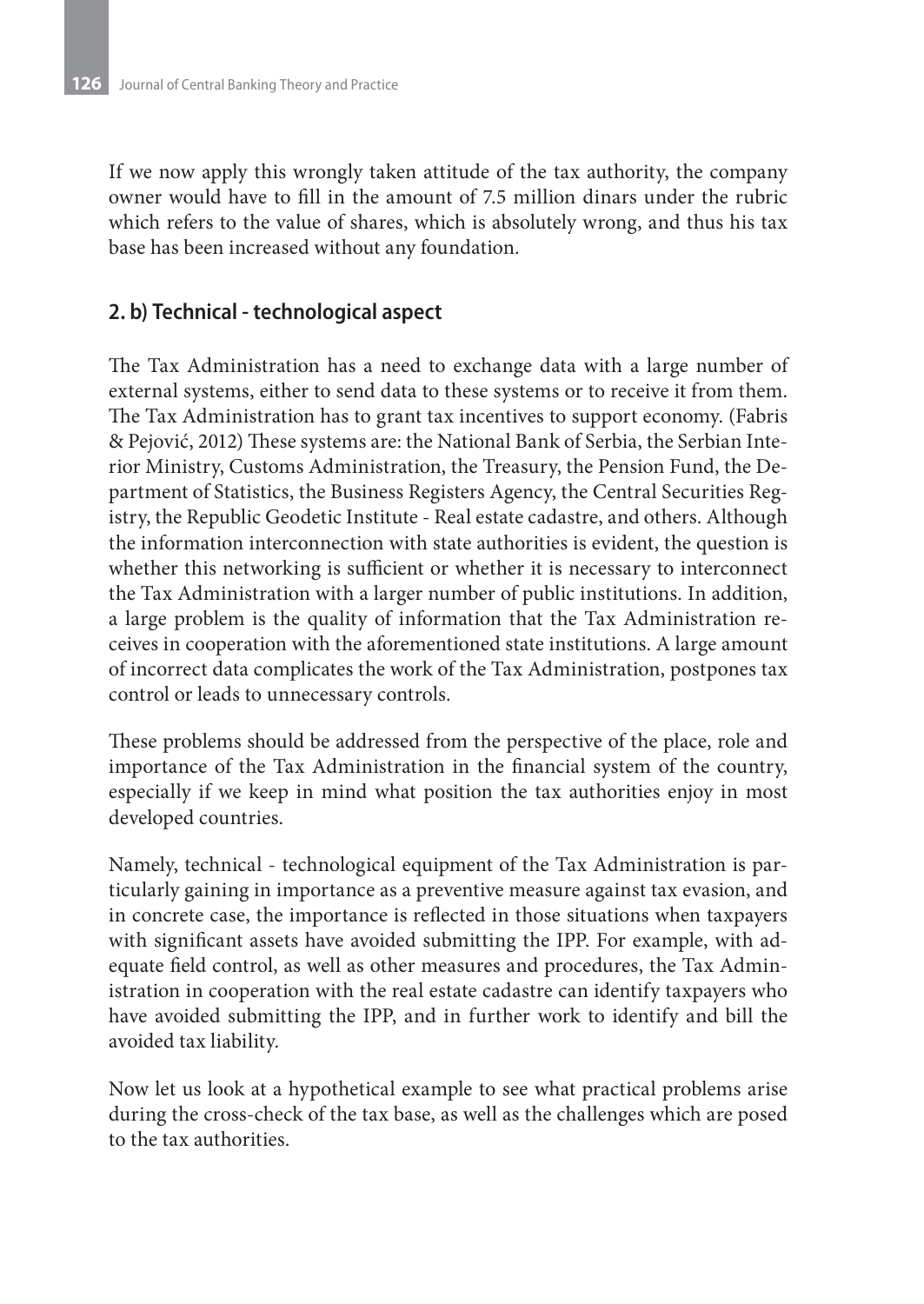If we now apply this wrongly taken attitude of the tax authority, the company owner would have to fill in the amount of 7.5 million dinars under the rubric which refers to the value of shares, which is absolutely wrong, and thus his tax base has been increased without any foundation.

#### **2. b) Technical - technological aspect**

The Tax Administration has a need to exchange data with a large number of external systems, either to send data to these systems or to receive it from them. The Tax Administration has to grant tax incentives to support economy. (Fabris & Pejović, 2012) These systems are: the National Bank of Serbia, the Serbian Interior Ministry, Customs Administration, the Treasury, the Pension Fund, the Department of Statistics, the Business Registers Agency, the Central Securities Registry, the Republic Geodetic Institute - Real estate cadastre, and others. Although the information interconnection with state authorities is evident, the question is whether this networking is sufficient or whether it is necessary to interconnect the Tax Administration with a larger number of public institutions. In addition, a large problem is the quality of information that the Tax Administration receives in cooperation with the aforementioned state institutions. A large amount of incorrect data complicates the work of the Tax Administration, postpones tax control or leads to unnecessary controls.

These problems should be addressed from the perspective of the place, role and importance of the Tax Administration in the financial system of the country, especially if we keep in mind what position the tax authorities enjoy in most developed countries.

Namely, technical - technological equipment of the Tax Administration is particularly gaining in importance as a preventive measure against tax evasion, and in concrete case, the importance is reflected in those situations when taxpayers with significant assets have avoided submitting the IPP. For example, with adequate field control, as well as other measures and procedures, the Tax Administration in cooperation with the real estate cadastre can identify taxpayers who have avoided submitting the IPP, and in further work to identify and bill the avoided tax liability.

Now let us look at a hypothetical example to see what practical problems arise during the cross-check of the tax base, as well as the challenges which are posed to the tax authorities.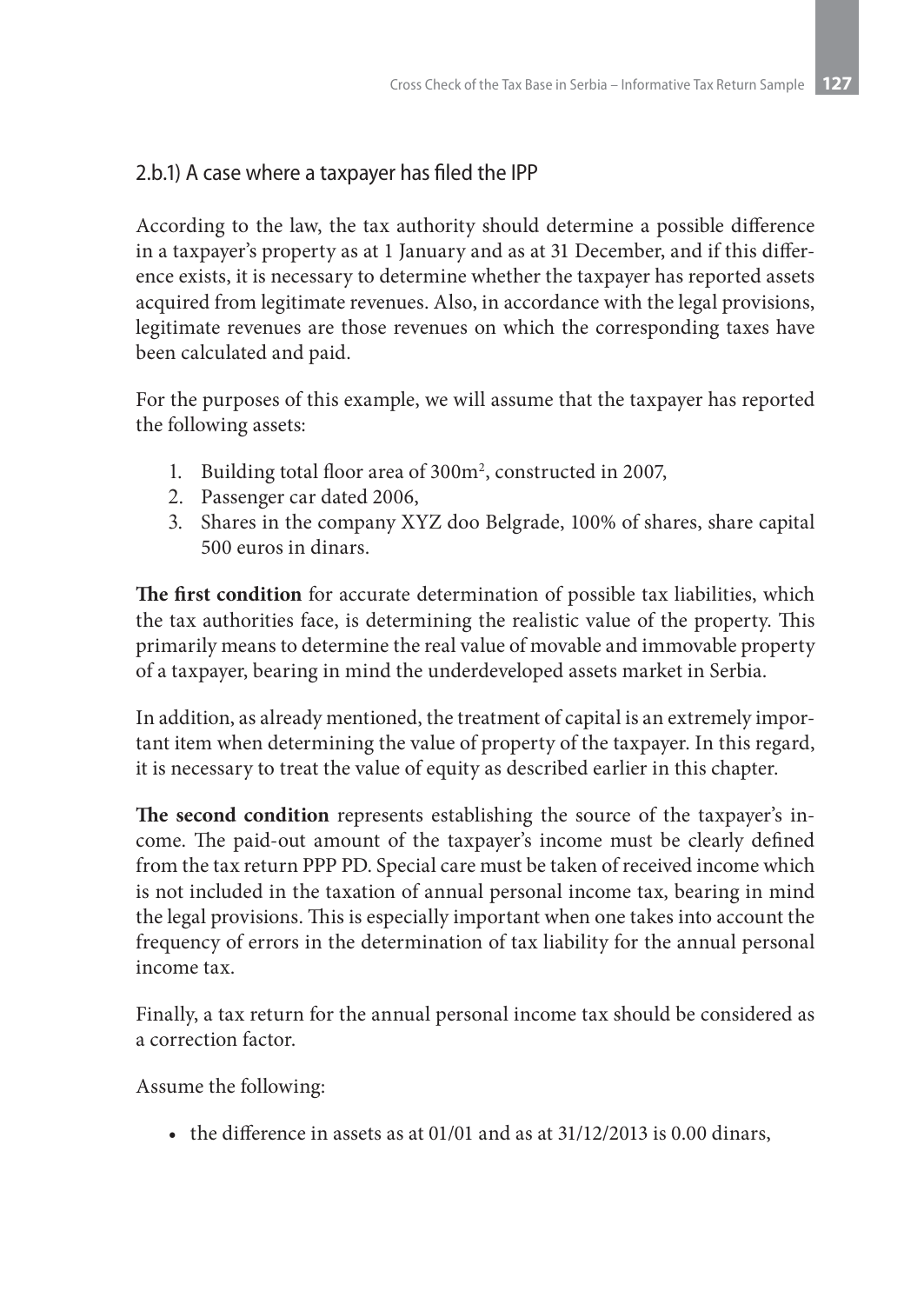## 2.b.1) A case where a taxpayer has filed the IPP

According to the law, the tax authority should determine a possible difference in a taxpayer's property as at 1 January and as at 31 December, and if this difference exists, it is necessary to determine whether the taxpayer has reported assets acquired from legitimate revenues. Also, in accordance with the legal provisions, legitimate revenues are those revenues on which the corresponding taxes have been calculated and paid.

For the purposes of this example, we will assume that the taxpayer has reported the following assets:

- 1. Building total floor area of 300m<sup>2</sup>, constructed in 2007,
- 2. Passenger car dated 2006,
- 3. Shares in the company XYZ doo Belgrade, 100% of shares, share capital 500 euros in dinars.

**The first condition** for accurate determination of possible tax liabilities, which the tax authorities face, is determining the realistic value of the property. This primarily means to determine the real value of movable and immovable property of a taxpayer, bearing in mind the underdeveloped assets market in Serbia.

In addition, as already mentioned, the treatment of capital is an extremely important item when determining the value of property of the taxpayer. In this regard, it is necessary to treat the value of equity as described earlier in this chapter.

**The second condition** represents establishing the source of the taxpayer's income. The paid-out amount of the taxpayer's income must be clearly defined from the tax return PPP PD. Special care must be taken of received income which is not included in the taxation of annual personal income tax, bearing in mind the legal provisions. This is especially important when one takes into account the frequency of errors in the determination of tax liability for the annual personal income tax.

Finally, a tax return for the annual personal income tax should be considered as a correction factor.

Assume the following:

• the difference in assets as at 01/01 and as at 31/12/2013 is 0.00 dinars,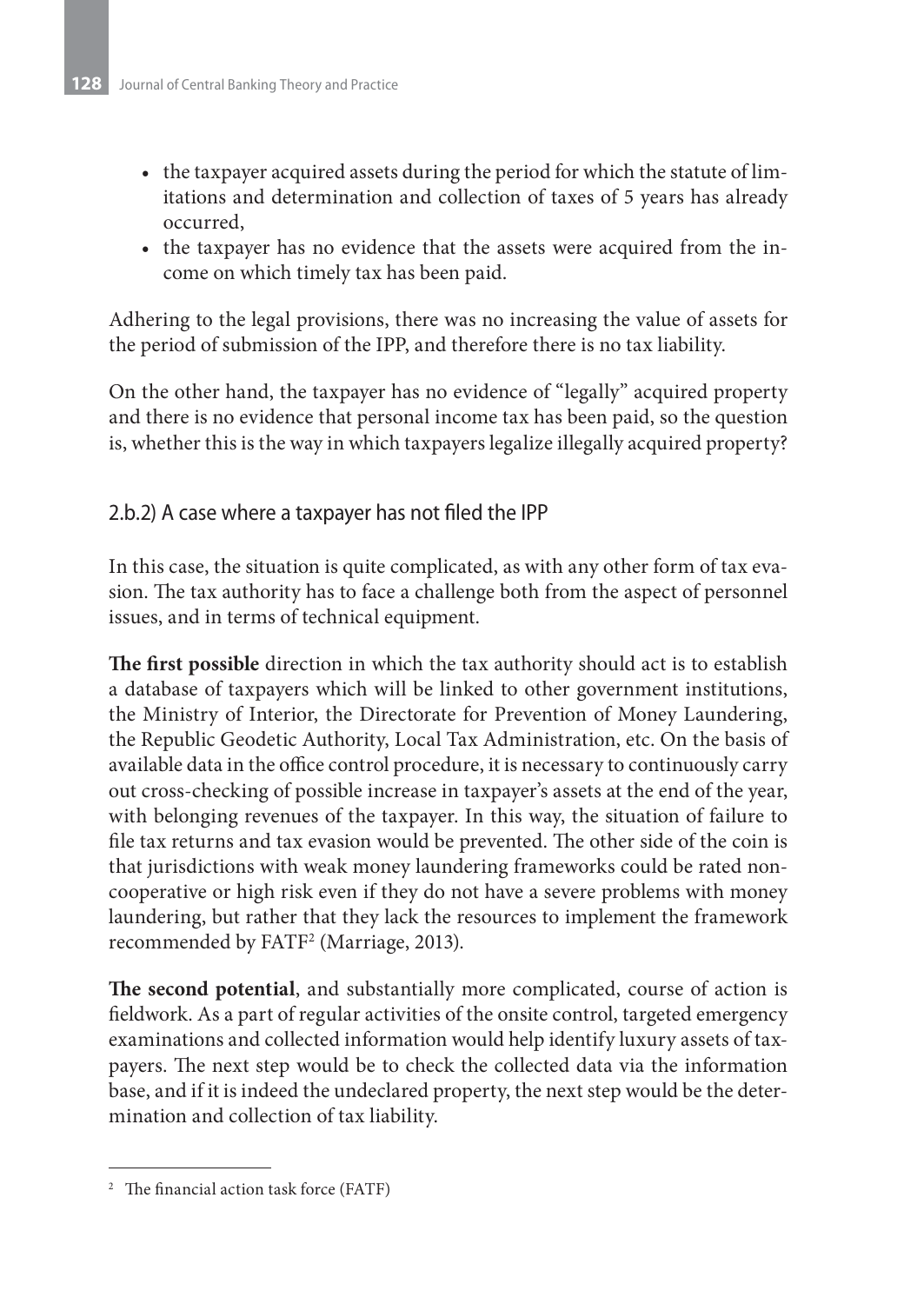- the taxpayer acquired assets during the period for which the statute of limitations and determination and collection of taxes of 5 years has already occurred,
- the taxpayer has no evidence that the assets were acquired from the income on which timely tax has been paid.

Adhering to the legal provisions, there was no increasing the value of assets for the period of submission of the IPP, and therefore there is no tax liability.

On the other hand, the taxpayer has no evidence of "legally" acquired property and there is no evidence that personal income tax has been paid, so the question is, whether this is the way in which taxpayers legalize illegally acquired property?

#### 2.b.2) A case where a taxpayer has not filed the IPP

In this case, the situation is quite complicated, as with any other form of tax evasion. The tax authority has to face a challenge both from the aspect of personnel issues, and in terms of technical equipment.

**The first possible** direction in which the tax authority should act is to establish a database of taxpayers which will be linked to other government institutions, the Ministry of Interior, the Directorate for Prevention of Money Laundering, the Republic Geodetic Authority, Local Tax Administration, etc. On the basis of available data in the office control procedure, it is necessary to continuously carry out cross-checking of possible increase in taxpayer's assets at the end of the year, with belonging revenues of the taxpayer. In this way, the situation of failure to file tax returns and tax evasion would be prevented. The other side of the coin is that jurisdictions with weak money laundering frameworks could be rated noncooperative or high risk even if they do not have a severe problems with money laundering, but rather that they lack the resources to implement the framework recommended by FATF<sup>2</sup> (Marriage, 2013).

**The second potential**, and substantially more complicated, course of action is fieldwork. As a part of regular activities of the onsite control, targeted emergency examinations and collected information would help identify luxury assets of taxpayers. The next step would be to check the collected data via the information base, and if it is indeed the undeclared property, the next step would be the determination and collection of tax liability.

<sup>&</sup>lt;sup>2</sup> The financial action task force (FATF)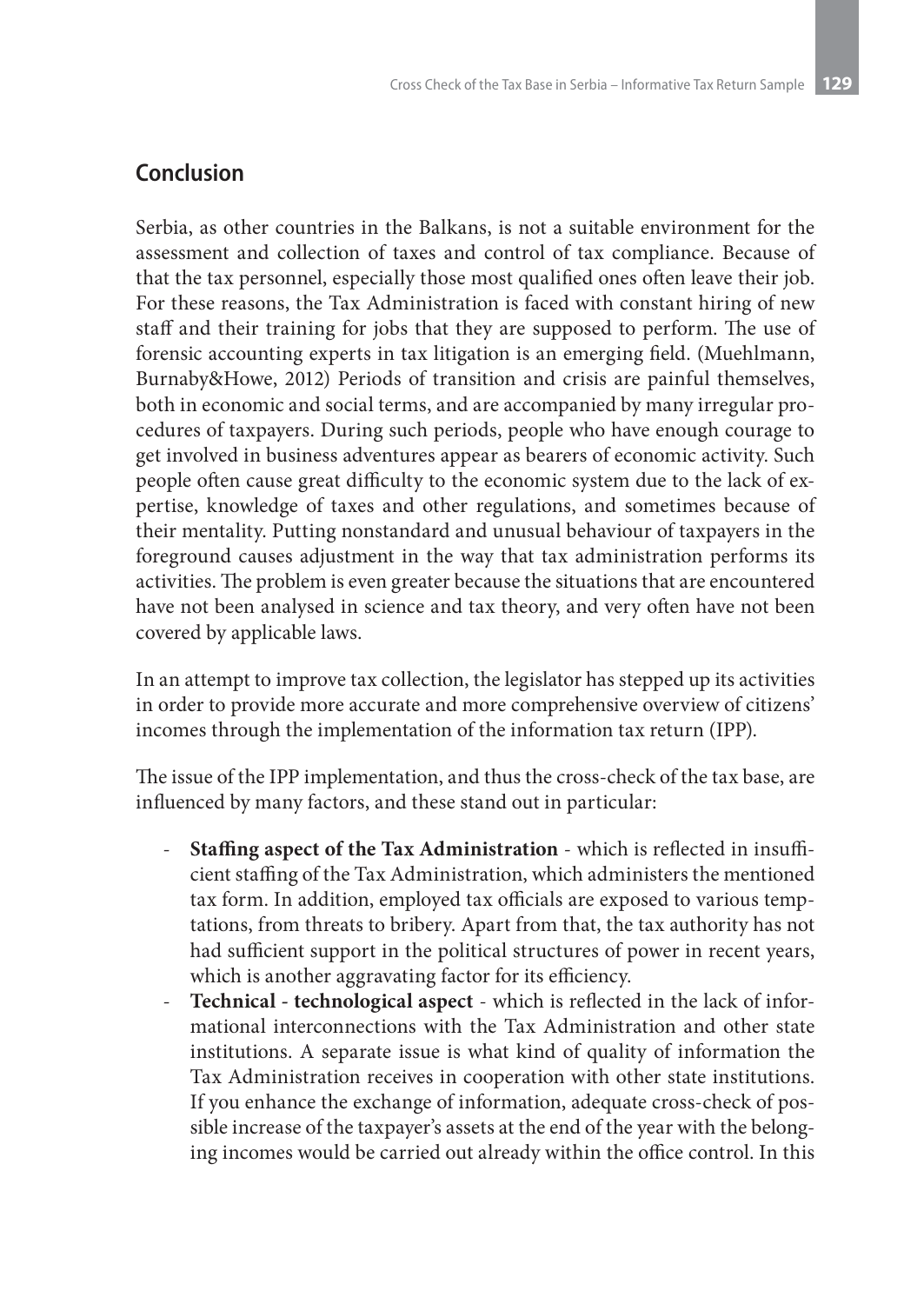# **Conclusion**

Serbia, as other countries in the Balkans, is not a suitable environment for the assessment and collection of taxes and control of tax compliance. Because of that the tax personnel, especially those most qualified ones often leave their job. For these reasons, the Tax Administration is faced with constant hiring of new staff and their training for jobs that they are supposed to perform. The use of forensic accounting experts in tax litigation is an emerging field. (Muehlmann, Burnaby&Howe, 2012) Periods of transition and crisis are painful themselves, both in economic and social terms, and are accompanied by many irregular procedures of taxpayers. During such periods, people who have enough courage to get involved in business adventures appear as bearers of economic activity. Such people often cause great difficulty to the economic system due to the lack of expertise, knowledge of taxes and other regulations, and sometimes because of their mentality. Putting nonstandard and unusual behaviour of taxpayers in the foreground causes adjustment in the way that tax administration performs its activities. The problem is even greater because the situations that are encountered have not been analysed in science and tax theory, and very often have not been covered by applicable laws.

In an attempt to improve tax collection, the legislator has stepped up its activities in order to provide more accurate and more comprehensive overview of citizens' incomes through the implementation of the information tax return (IPP).

The issue of the IPP implementation, and thus the cross-check of the tax base, are influenced by many factors, and these stand out in particular:

- **Staffing aspect of the Tax Administration** which is reflected in insufficient staffing of the Tax Administration, which administers the mentioned tax form. In addition, employed tax officials are exposed to various temptations, from threats to bribery. Apart from that, the tax authority has not had sufficient support in the political structures of power in recent years, which is another aggravating factor for its efficiency.
- **Technical technological aspect** which is reflected in the lack of informational interconnections with the Tax Administration and other state institutions. A separate issue is what kind of quality of information the Tax Administration receives in cooperation with other state institutions. If you enhance the exchange of information, adequate cross-check of possible increase of the taxpayer's assets at the end of the year with the belonging incomes would be carried out already within the office control. In this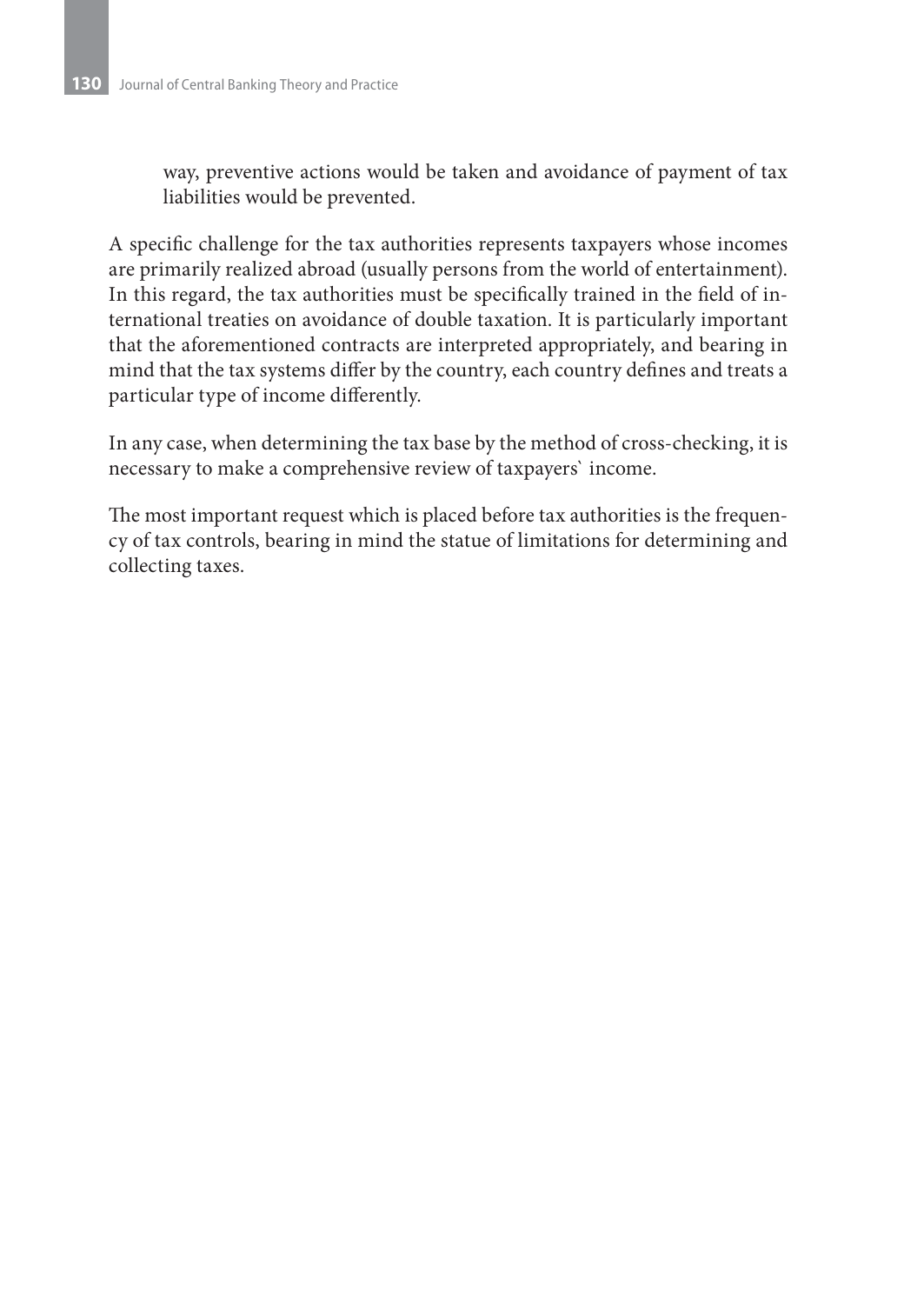way, preventive actions would be taken and avoidance of payment of tax liabilities would be prevented.

A specific challenge for the tax authorities represents taxpayers whose incomes are primarily realized abroad (usually persons from the world of entertainment). In this regard, the tax authorities must be specifically trained in the field of international treaties on avoidance of double taxation. It is particularly important that the aforementioned contracts are interpreted appropriately, and bearing in mind that the tax systems differ by the country, each country defines and treats a particular type of income differently.

In any case, when determining the tax base by the method of cross-checking, it is necessary to make a comprehensive review of taxpayers` income.

The most important request which is placed before tax authorities is the frequency of tax controls, bearing in mind the statue of limitations for determining and collecting taxes.